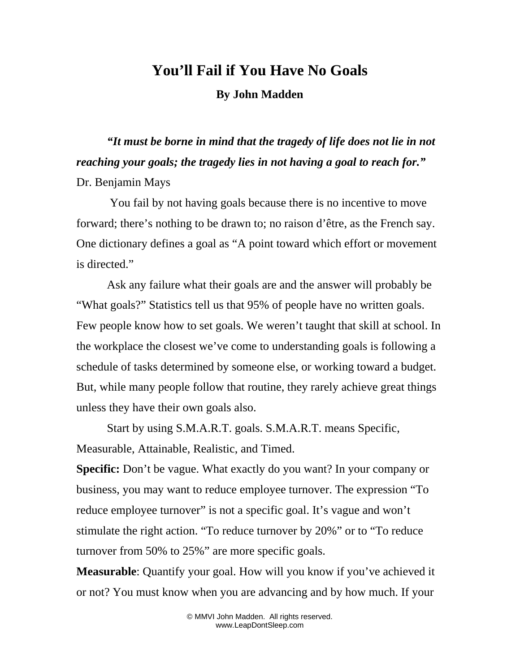## **You'll Fail if You Have No Goals**

**By John Madden**

*"It must be borne in mind that the tragedy of life does not lie in not reaching your goals; the tragedy lies in not having a goal to reach for."*  Dr. Benjamin Mays

 You fail by not having goals because there is no incentive to move forward; there's nothing to be drawn to; no raison d'être, as the French say. One dictionary defines a goal as "A point toward which effort or movement is directed."

Ask any failure what their goals are and the answer will probably be "What goals?" Statistics tell us that 95% of people have no written goals. Few people know how to set goals. We weren't taught that skill at school. In the workplace the closest we've come to understanding goals is following a schedule of tasks determined by someone else, or working toward a budget. But, while many people follow that routine, they rarely achieve great things unless they have their own goals also.

Start by using S.M.A.R.T. goals. S.M.A.R.T. means Specific, Measurable, Attainable, Realistic, and Timed.

**Specific:** Don't be vague. What exactly do you want? In your company or business, you may want to reduce employee turnover. The expression "To reduce employee turnover" is not a specific goal. It's vague and won't stimulate the right action. "To reduce turnover by 20%" or to "To reduce turnover from 50% to 25%" are more specific goals.

**Measurable**: Quantify your goal. How will you know if you've achieved it or not? You must know when you are advancing and by how much. If your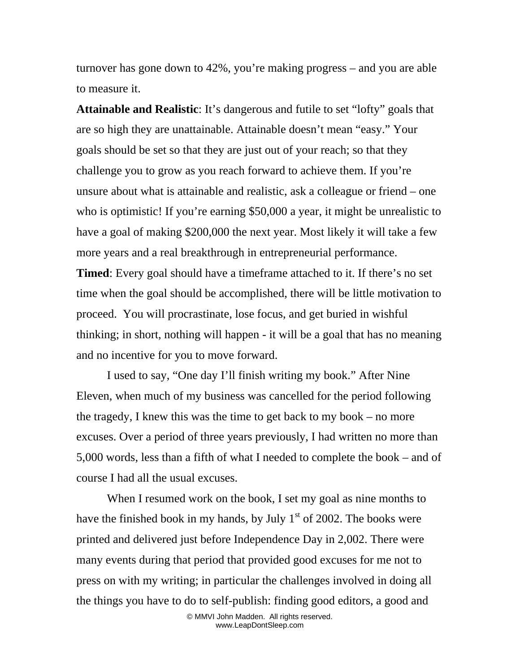turnover has gone down to 42%, you're making progress – and you are able to measure it.

**Attainable and Realistic**: It's dangerous and futile to set "lofty" goals that are so high they are unattainable. Attainable doesn't mean "easy." Your goals should be set so that they are just out of your reach; so that they challenge you to grow as you reach forward to achieve them. If you're unsure about what is attainable and realistic, ask a colleague or friend – one who is optimistic! If you're earning \$50,000 a year, it might be unrealistic to have a goal of making \$200,000 the next year. Most likely it will take a few more years and a real breakthrough in entrepreneurial performance.

**Timed**: Every goal should have a timeframe attached to it. If there's no set time when the goal should be accomplished, there will be little motivation to proceed. You will procrastinate, lose focus, and get buried in wishful thinking; in short, nothing will happen - it will be a goal that has no meaning and no incentive for you to move forward.

I used to say, "One day I'll finish writing my book." After Nine Eleven, when much of my business was cancelled for the period following the tragedy, I knew this was the time to get back to my book – no more excuses. Over a period of three years previously, I had written no more than 5,000 words, less than a fifth of what I needed to complete the book – and of course I had all the usual excuses.

When I resumed work on the book, I set my goal as nine months to have the finished book in my hands, by July  $1<sup>st</sup>$  of 2002. The books were printed and delivered just before Independence Day in 2,002. There were many events during that period that provided good excuses for me not to press on with my writing; in particular the challenges involved in doing all the things you have to do to self-publish: finding good editors, a good and

> © MMVI John Madden. All rights reserved. www.LeapDontSleep.com